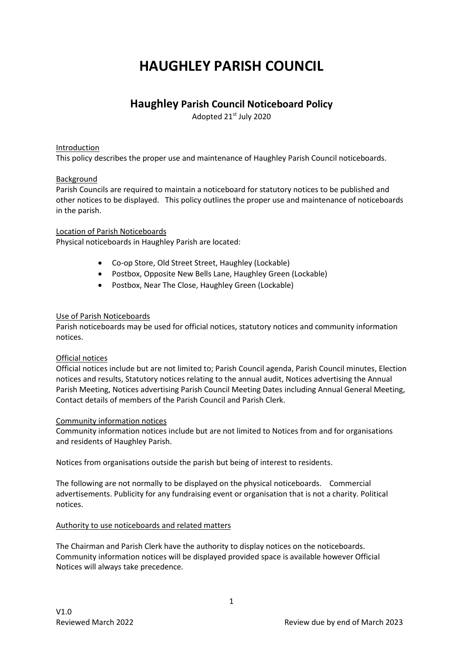# **HAUGHLEY PARISH COUNCIL**

# **Haughley Parish Council Noticeboard Policy**

Adopted 21st July 2020

# Introduction

This policy describes the proper use and maintenance of Haughley Parish Council noticeboards.

# Background

Parish Councils are required to maintain a noticeboard for statutory notices to be published and other notices to be displayed. This policy outlines the proper use and maintenance of noticeboards in the parish.

#### Location of Parish Noticeboards

Physical noticeboards in Haughley Parish are located:

- Co-op Store, Old Street Street, Haughley (Lockable)
- Postbox, Opposite New Bells Lane, Haughley Green (Lockable)
- Postbox, Near The Close, Haughley Green (Lockable)

# Use of Parish Noticeboards

Parish noticeboards may be used for official notices, statutory notices and community information notices.

#### Official notices

Official notices include but are not limited to; Parish Council agenda, Parish Council minutes, Election notices and results, Statutory notices relating to the annual audit, Notices advertising the Annual Parish Meeting, Notices advertising Parish Council Meeting Dates including Annual General Meeting, Contact details of members of the Parish Council and Parish Clerk.

#### Community information notices

Community information notices include but are not limited to Notices from and for organisations and residents of Haughley Parish.

Notices from organisations outside the parish but being of interest to residents.

The following are not normally to be displayed on the physical noticeboards. Commercial advertisements. Publicity for any fundraising event or organisation that is not a charity. Political notices.

#### Authority to use noticeboards and related matters

The Chairman and Parish Clerk have the authority to display notices on the noticeboards. Community information notices will be displayed provided space is available however Official Notices will always take precedence.